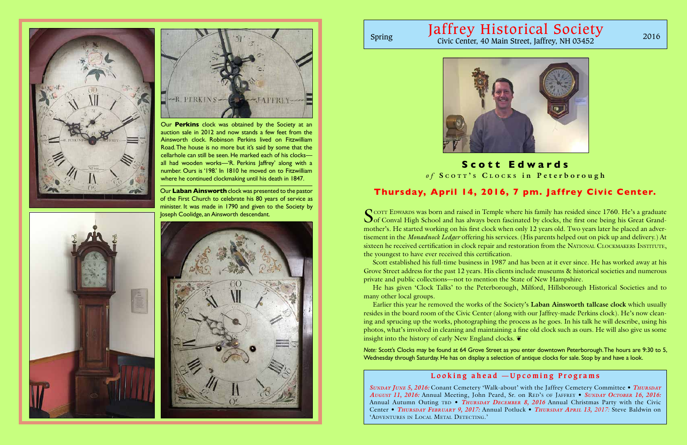Our **Laban Ainsworth** clock was presented to the pastor of the First Church to celebrate his 80 years of service as minister. It was made in 1790 and given to the Society by Joseph Coolidge, an Ainsworth descendant.





# Jaffrey Historical Society Spring Civic Center, 40 Main Street, Jaffrey, NH 03452 2016







Our **Perkins** clock was obtained by the Society at an auction sale in 2012 and now stands a few feet from the Ainsworth clock. Robinson Perkins lived on Fitzwilliam Road. The house is no more but it's said by some that the cellarhole can still be seen. He marked each of his clocks all had wooden works—'R. Perkins Jaffrey' along with a number. Ours is '198.' In 1810 he moved on to Fitzwilliam where he continued clockmaking until his death in 1847.

> SCOTT EDWARDS was born and raised in Temple where his family has resided since 1760. He's a graduate of Conval High School and has always been fascinated by clocks, the first one being his Great Grandmother's. He started working on his first clock when only 12 years old. Two years later he placed an advertisement in the *Monadnock Ledger* offering his services. (His parents helped out on pick up and delivery.) At sixteen he received certification in clock repair and restoration from the NATIONAL CLOCKMAKERS INSTITUTE, the youngest to have ever received this certification.

# **Scott Edwards**

Earlier this year he removed the works of the Society's **Laban Ainsworth tallcase clock** which usually resides in the board room of the Civic Center (along with our Jaffrey-made Perkins clock). He's now cleaning and sprucing up the works, photographing the process as he goes. In his talk he will describe, using his photos, what's involved in cleaning and maintaining a fine old clock such as ours. He will also give us some insight into the history of early New England clocks.  $\tilde{\mathbf{v}}$ 

*SUNDAY JUNE 5, 2016:* Conant Cemetery 'Walk-about' with the Jaffrey Cemetery Committee • *Thursday August 11, 2016: Annual Meeting, John Peard, Sr. on RED's OF JAFFREY • SUNDAY OCTOBER 16, 2016:* Annual Autumn Outing tbd • *Thursday December 8, 2016* Annual Christmas Party with the Civic Center • *Thursday February 9, 2017:* Annual Potluck • *Thursday April 13, 2017:* Steve Baldwin on 'Adventures in Local Metal Detecting.'

Scott established his full-time business in 1987 and has been at it ever since. He has worked away at his Grove Street address for the past 12 years. His clients include museums & historical societies and numerous private and public collections—not to mention the State of New Hampshire.

He has given 'Clock Talks' to the Peterborough, Milford, Hillsborough Historical Societies and to many other local groups.

*Note:* Scott's Clocks may be found at 64 Grove Street as you enter downtown Peterborough. The hours are 9:30 to 5, Wednesday through Saturday. He has on display a selection of antique clocks for sale. Stop by and have a look.

# **Looking ahead —Upcoming Programs**

# **Thursday, April 14, 2016, 7 pm. Jaffrey Civic Center.**

*o f* **S c o t t ' <sup>s</sup> C l o c k <sup>s</sup> in Peterborough**